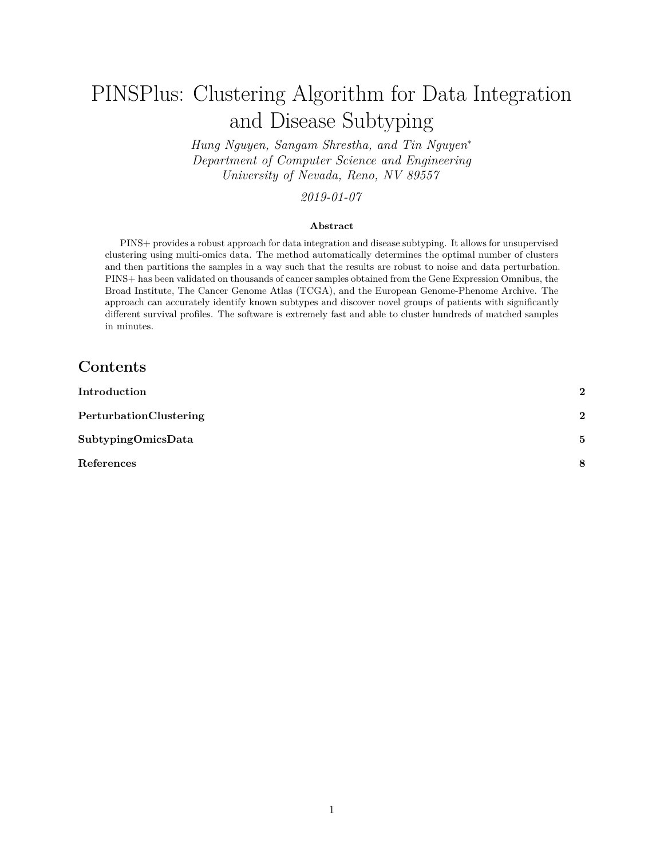# PINSPlus: Clustering Algorithm for Data Integration and Disease Subtyping

*Hung Nguyen, Sangam Shrestha, and Tin Nguyen*<sup>∗</sup> *Department of Computer Science and Engineering University of Nevada, Reno, NV 89557*

### *2019-01-07*

#### **Abstract**

PINS+ provides a robust approach for data integration and disease subtyping. It allows for unsupervised clustering using multi-omics data. The method automatically determines the optimal number of clusters and then partitions the samples in a way such that the results are robust to noise and data perturbation. PINS+ has been validated on thousands of cancer samples obtained from the Gene Expression Omnibus, the Broad Institute, The Cancer Genome Atlas (TCGA), and the European Genome-Phenome Archive. The approach can accurately identify known subtypes and discover novel groups of patients with significantly different survival profiles. The software is extremely fast and able to cluster hundreds of matched samples in minutes.

## **Contents**

| Introduction           | $\overline{\mathbf{2}}$ |
|------------------------|-------------------------|
| PerturbationClustering | $\overline{\mathbf{2}}$ |
| SubtypingOmicsData     | 5                       |
| References             | 8                       |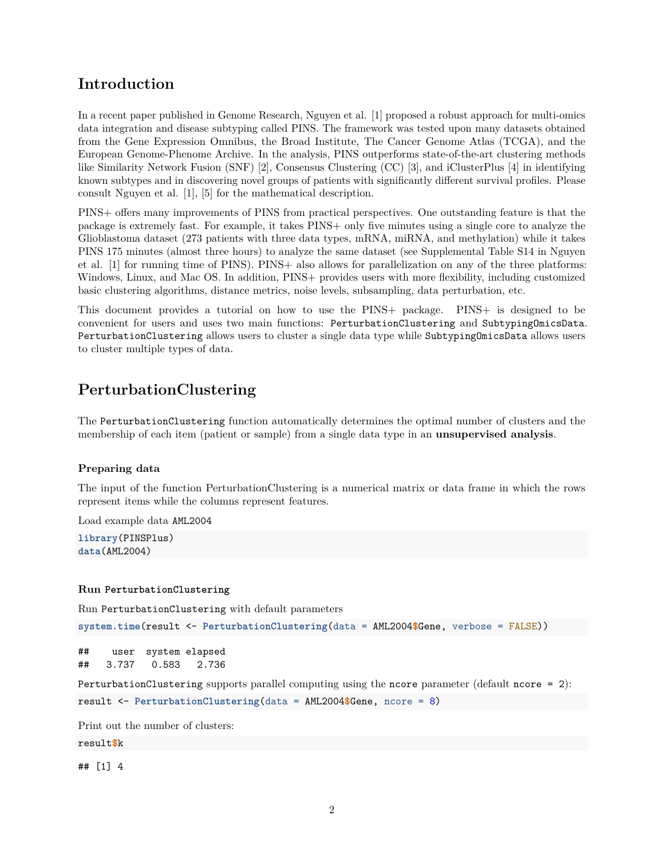## <span id="page-1-0"></span>**Introduction**

In a recent paper published in Genome Research, Nguyen et al. [1] proposed a robust approach for multi-omics data integration and disease subtyping called PINS. The framework was tested upon many datasets obtained from the Gene Expression Omnibus, the Broad Institute, The Cancer Genome Atlas (TCGA), and the European Genome-Phenome Archive. In the analysis, PINS outperforms state-of-the-art clustering methods like Similarity Network Fusion (SNF) [2], Consensus Clustering (CC) [3], and iClusterPlus [4] in identifying known subtypes and in discovering novel groups of patients with significantly different survival profiles. Please consult Nguyen et al. [1], [5] for the mathematical description.

PINS+ offers many improvements of PINS from practical perspectives. One outstanding feature is that the package is extremely fast. For example, it takes PINS+ only five minutes using a single core to analyze the Glioblastoma dataset (273 patients with three data types, mRNA, miRNA, and methylation) while it takes PINS 175 minutes (almost three hours) to analyze the same dataset (see Supplemental Table S14 in Nguyen et al. [1] for running time of PINS). PINS+ also allows for parallelization on any of the three platforms: Windows, Linux, and Mac OS. In addition, PINS+ provides users with more flexibility, including customized basic clustering algorithms, distance metrics, noise levels, subsampling, data perturbation, etc.

This document provides a tutorial on how to use the PINS+ package. PINS+ is designed to be convenient for users and uses two main functions: PerturbationClustering and SubtypingOmicsData. PerturbationClustering allows users to cluster a single data type while SubtypingOmicsData allows users to cluster multiple types of data.

# <span id="page-1-1"></span>**PerturbationClustering**

The PerturbationClustering function automatically determines the optimal number of clusters and the membership of each item (patient or sample) from a single data type in an **unsupervised analysis**.

#### **Preparing data**

The input of the function PerturbationClustering is a numerical matrix or data frame in which the rows represent items while the columns represent features.

Load example data AML2004

**library**(PINSPlus) **data**(AML2004)

#### **Run PerturbationClustering**

Run PerturbationClustering with default parameters

```
system.time(result <- PerturbationClustering(data = AML2004$Gene, verbose = FALSE))
```

```
## user system elapsed
## 3.737 0.583 2.736
```

```
PerturbationClustering supports parallel computing using the ncore parameter (default ncore = 2):
result <- PerturbationClustering(data = AML2004$Gene, ncore = 8)
```
Print out the number of clusters:

result**\$**k

## [1] 4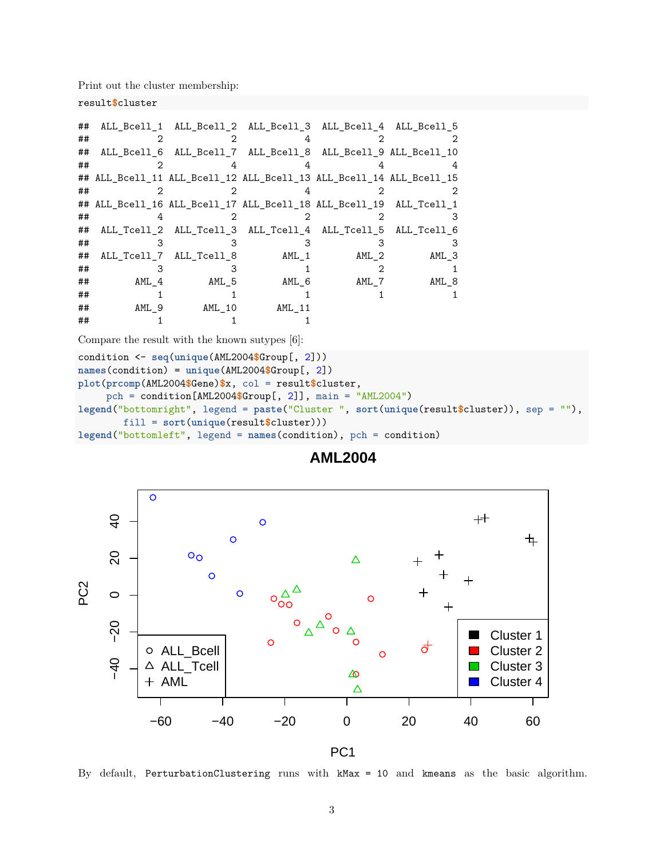Print out the cluster membership:

```
result$cluster
```

| ## |       | ALL_Bcell_1 ALL_Bcell_2 ALL_Bcell_3 ALL_Bcell_4 ALL_Bcell_5         |         |         |         |
|----|-------|---------------------------------------------------------------------|---------|---------|---------|
| ## |       |                                                                     |         |         |         |
| ## |       | ALL_Bcell_6 ALL_Bcell_7 ALL_Bcell_8 ALL_Bcell_9 ALL_Bcell_10        |         |         |         |
| ## |       |                                                                     |         |         |         |
|    |       | ## ALL_Bcell_11 ALL_Bcell_12 ALL_Bcell_13 ALL_Bcell_14 ALL_Bcell_15 |         |         |         |
| ## |       |                                                                     |         |         |         |
|    |       | ## ALL_Bcell_16 ALL_Bcell_17 ALL_Bcell_18 ALL_Bcell_19 ALL_Tcell_1  |         |         |         |
| ## |       |                                                                     |         |         | З       |
| ## |       | ALL_Tcell_2 ALL_Tcell_3 ALL_Tcell_4 ALL_Tcell_5 ALL_Tcell_6         |         |         |         |
| ## |       |                                                                     |         |         |         |
| ## |       | ALL_Tcell_7 ALL_Tcell_8                                             | $AML_1$ | $AML_2$ | $AML_3$ |
| ## |       |                                                                     |         |         |         |
| ## | AML 4 | AML_5                                                               | AML 6   | AML_7   | $AML_8$ |
| ## |       |                                                                     |         |         |         |
| ## | AML 9 | AML 10                                                              | AML 11  |         |         |
| ## |       |                                                                     |         |         |         |

Compare the result with the known sutypes [6]:

```
condition <- seq(unique(AML2004$Group[, 2]))
names(condition) = unique(AML2004$Group[, 2])
plot(prcomp(AML2004$Gene)$x, col = result$cluster,
     pch = condition[AML2004$Group[, 2]], main = "AML2004")
legend("bottomright", legend = paste("Cluster ", sort(unique(result$cluster)), sep = ""),
       fill = sort(unique(result$cluster)))
legend("bottomleft", legend = names(condition), pch = condition)
```


## **AML2004**

By default, PerturbationClustering runs with kMax = 10 and kmeans as the basic algorithm.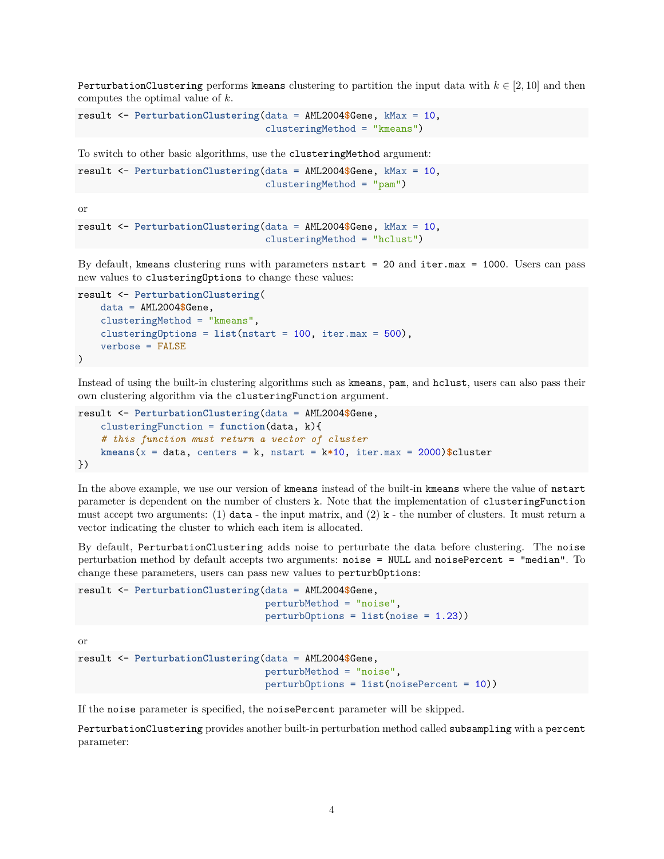PerturbationClustering performs kmeans clustering to partition the input data with  $k \in [2, 10]$  and then computes the optimal value of *k*.

```
result <- PerturbationClustering(data = AML2004$Gene, kMax = 10,
                                 clusteringMethod = "kmeans")
```
To switch to other basic algorithms, use the clusteringMethod argument:

```
result <- PerturbationClustering(data = AML2004$Gene, kMax = 10,
                                 clusteringMethod = "pam")
```
or

```
result <- PerturbationClustering(data = AML2004$Gene, kMax = 10,
                                 clusteringMethod = "hclust")
```
By default, kmeans clustering runs with parameters nstart = 20 and iter.max = 1000. Users can pass new values to clusteringOptions to change these values:

```
result <- PerturbationClustering(
   data = AML2004$Gene,
    clusteringMethod = "kmeans",
    clusteringOptions = list(nstart = 100, iter.max = 500),
    verbose = FALSE
)
```
Instead of using the built-in clustering algorithms such as kmeans, pam, and hclust, users can also pass their own clustering algorithm via the clusteringFunction argument.

```
result <- PerturbationClustering(data = AML2004$Gene,
    clusteringFunction = function(data, k){
    # this function must return a vector of cluster
    kmeans(x = data, centers = k, nstart = k*10, iter.max = 2000)$cluster
})
```
In the above example, we use our version of kmeans instead of the built-in kmeans where the value of nstart parameter is dependent on the number of clusters k. Note that the implementation of clusteringFunction must accept two arguments: (1) data - the input matrix, and (2)  $k$  - the number of clusters. It must return a vector indicating the cluster to which each item is allocated.

By default, PerturbationClustering adds noise to perturbate the data before clustering. The noise perturbation method by default accepts two arguments: noise = NULL and noisePercent = "median". To change these parameters, users can pass new values to perturbOptions:

```
result <- PerturbationClustering(data = AML2004$Gene,
                                 perturbMethod = "noise",
                                 perturbOptions = list(noise = 1.23))
```
or

```
result <- PerturbationClustering(data = AML2004$Gene,
                                 perturbMethod = "noise",
                                 perturbOptions = list(noisePercent = 10))
```
If the noise parameter is specified, the noisePercent parameter will be skipped.

PerturbationClustering provides another built-in perturbation method called subsampling with a percent parameter: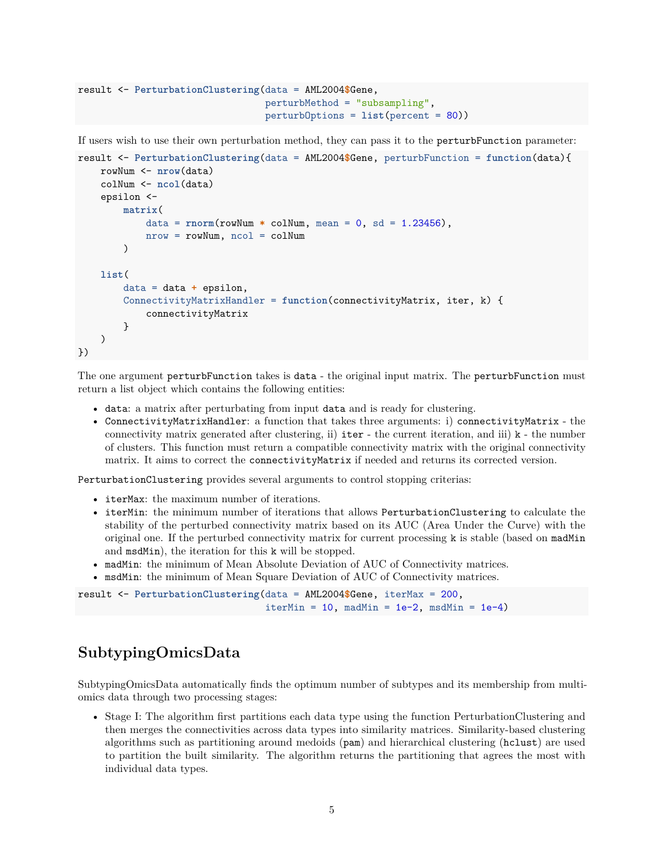```
result <- PerturbationClustering(data = AML2004$Gene,
                                 perturbMethod = "subsampling",
                                 perturbOptions = list(percent = 80))
```
If users wish to use their own perturbation method, they can pass it to the perturbFunction parameter:

```
result <- PerturbationClustering(data = AML2004$Gene, perturbFunction = function(data){
   rowNum <- nrow(data)
    colNum <- ncol(data)
    epsilon <-
        matrix(
            data = rnorm(rowNum * colNum, mean = 0, sd = 1.23456),
            nrow = rowNum, ncol = colNum
        )
   list(
        data = data + epsilon,
        ConnectivityMatrixHandler = function(connectivityMatrix, iter, k) {
            connectivityMatrix
        }
    )
})
```
The one argument perturbFunction takes is data - the original input matrix. The perturbFunction must return a list object which contains the following entities:

- data: a matrix after perturbating from input data and is ready for clustering.
- ConnectivityMatrixHandler: a function that takes three arguments: i) connectivityMatrix the connectivity matrix generated after clustering, ii)  $\Delta t$  - the current iteration, and iii)  $k$  - the number of clusters. This function must return a compatible connectivity matrix with the original connectivity matrix. It aims to correct the connectivityMatrix if needed and returns its corrected version.

PerturbationClustering provides several arguments to control stopping criterias:

- iterMax: the maximum number of iterations.
- iterMin: the minimum number of iterations that allows PerturbationClustering to calculate the stability of the perturbed connectivity matrix based on its AUC (Area Under the Curve) with the original one. If the perturbed connectivity matrix for current processing k is stable (based on madMin and msdMin), the iteration for this k will be stopped.
- madMin: the minimum of Mean Absolute Deviation of AUC of Connectivity matrices.
- msdMin: the minimum of Mean Square Deviation of AUC of Connectivity matrices.

```
result <- PerturbationClustering(data = AML2004$Gene, iterMax = 200,
                                 iterMin = 10, madMin = 1e-2, msdMin = 1e-4)
```
## <span id="page-4-0"></span>**SubtypingOmicsData**

SubtypingOmicsData automatically finds the optimum number of subtypes and its membership from multiomics data through two processing stages:

• Stage I: The algorithm first partitions each data type using the function PerturbationClustering and then merges the connectivities across data types into similarity matrices. Similarity-based clustering algorithms such as partitioning around medoids (pam) and hierarchical clustering (hclust) are used to partition the built similarity. The algorithm returns the partitioning that agrees the most with individual data types.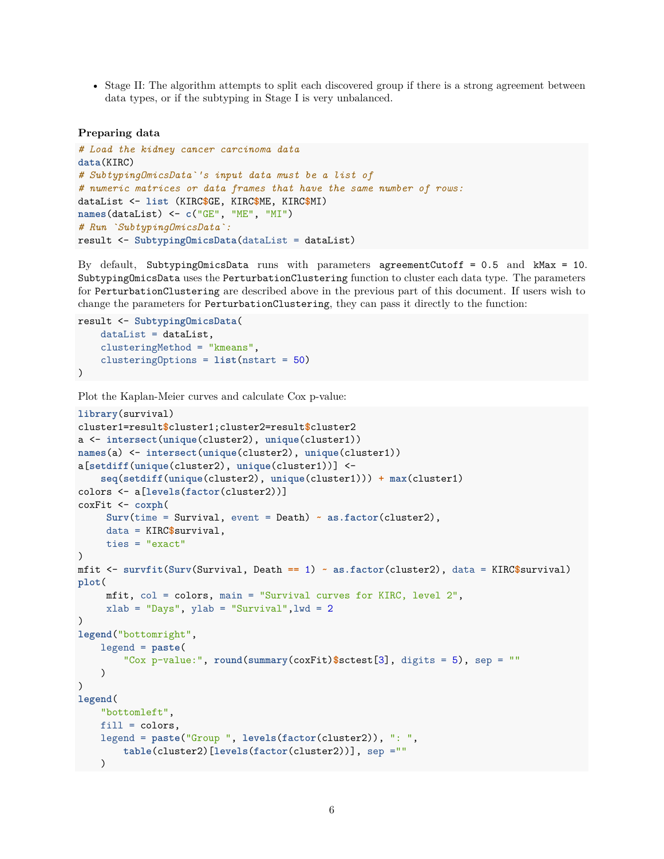• Stage II: The algorithm attempts to split each discovered group if there is a strong agreement between data types, or if the subtyping in Stage I is very unbalanced.

#### **Preparing data**

```
# Load the kidney cancer carcinoma data
data(KIRC)
# SubtypingOmicsData`'s input data must be a list of
# numeric matrices or data frames that have the same number of rows:
dataList <- list (KIRC$GE, KIRC$ME, KIRC$MI)
names(dataList) <- c("GE", "ME", "MI")
# Run `SubtypingOmicsData`:
result <- SubtypingOmicsData(dataList = dataList)
```
By default, SubtypingOmicsData runs with parameters agreementCutoff = 0.5 and kMax = 10. SubtypingOmicsData uses the PerturbationClustering function to cluster each data type. The parameters for PerturbationClustering are described above in the previous part of this document. If users wish to change the parameters for PerturbationClustering, they can pass it directly to the function:

```
result <- SubtypingOmicsData(
    dataList = dataList,
    clusteringMethod = "kmeans",
    clusteringOptions = list(nstart = 50)
\lambda
```

```
Plot the Kaplan-Meier curves and calculate Cox p-value:
```

```
library(survival)
cluster1=result$cluster1;cluster2=result$cluster2
a <- intersect(unique(cluster2), unique(cluster1))
names(a) <- intersect(unique(cluster2), unique(cluster1))
a[setdiff(unique(cluster2), unique(cluster1))] <-
    seq(setdiff(unique(cluster2), unique(cluster1))) + max(cluster1)
colors <- a[levels(factor(cluster2))]
coxFit <- coxph(
     Surv(time = Survival, event = Death) ~ as.factor(cluster2),
     data = KIRC$survival,
     ties = "exact"
)
mfit <- survfit(Surv(Survival, Death == 1) ~ as.factor(cluster2), data = KIRC$survival)
plot(
     mfit, col = colors, main = "Survival curves for KIRC, level 2",
     xlab = "Days", ylab = "Survival", lwd = 2
)
legend("bottomright",
   legend = paste(
        "Cox p-value:", round(summary(coxFit)$sctest[3], digits = 5), sep = ""
   )
\lambdalegend(
   "bottomleft",
   fill = colors,legend = paste("Group ", levels(factor(cluster2)), ": ",
        table(cluster2)[levels(factor(cluster2))], sep =""
   )
```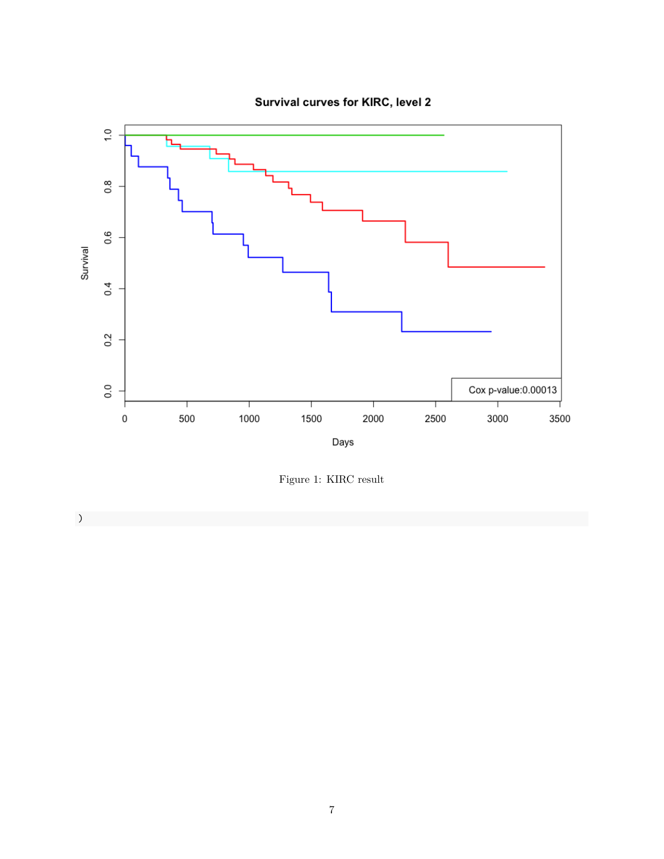



Figure 1: KIRC result

)